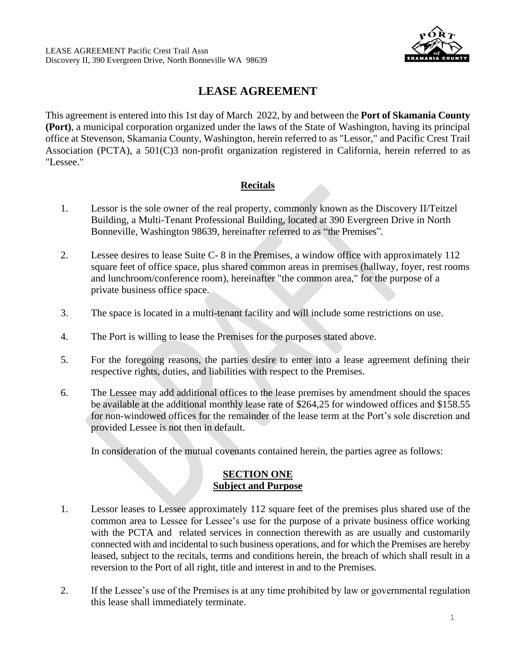

# **LEASE AGREEMENT**

This agreement is entered into this 1st day of March 2022, by and between the **Port of Skamania County (Port)**, a municipal corporation organized under the laws of the State of Washington, having its principal office at Stevenson, Skamania County, Washington, herein referred to as "Lessor," and Pacific Crest Trail Association (PCTA), a 501(C)3 non-profit organization registered in California, herein referred to as "Lessee."

# **Recitals**

- 1. Lessor is the sole owner of the real property, commonly known as the Discovery II/Teitzel Building, a Multi-Tenant Professional Building, located at 390 Evergreen Drive in North Bonneville, Washington 98639, hereinafter referred to as "the Premises".
- 2. Lessee desires to lease Suite C- 8 in the Premises, a window office with approximately 112 square feet of office space, plus shared common areas in premises (hallway, foyer, rest rooms and lunchroom/conference room), hereinafter "the common area," for the purpose of a private business office space.
- 3. The space is located in a multi-tenant facility and will include some restrictions on use.
- 4. The Port is willing to lease the Premises for the purposes stated above.
- 5. For the foregoing reasons, the parties desire to enter into a lease agreement defining their respective rights, duties, and liabilities with respect to the Premises.
- 6. The Lessee may add additional offices to the lease premises by amendment should the spaces be available at the additional monthly lease rate of \$264,25 for windowed offices and \$158.55 for non-windowed offices for the remainder of the lease term at the Port's sole discretion and provided Lessee is not then in default.

In consideration of the mutual covenants contained herein, the parties agree as follows:

#### **SECTION ONE Subject and Purpose**

- 1. Lessor leases to Lessee approximately 112 square feet of the premises plus shared use of the common area to Lessee for Lessee's use for the purpose of a private business office working with the PCTA and related services in connection therewith as are usually and customarily connected with and incidental to such business operations, and for which the Premises are hereby leased, subject to the recitals, terms and conditions herein, the breach of which shall result in a reversion to the Port of all right, title and interest in and to the Premises.
- 2. If the Lessee's use of the Premises is at any time prohibited by law or governmental regulation this lease shall immediately terminate.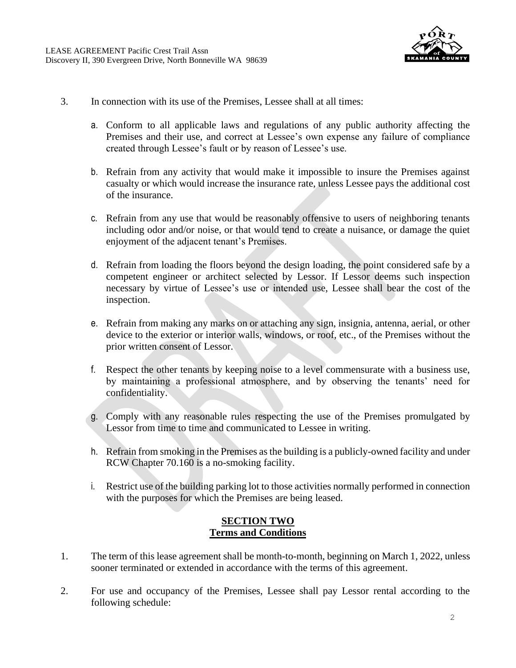

- 3. In connection with its use of the Premises, Lessee shall at all times:
	- a. Conform to all applicable laws and regulations of any public authority affecting the Premises and their use, and correct at Lessee's own expense any failure of compliance created through Lessee's fault or by reason of Lessee's use.
	- b. Refrain from any activity that would make it impossible to insure the Premises against casualty or which would increase the insurance rate, unless Lessee pays the additional cost of the insurance.
	- c. Refrain from any use that would be reasonably offensive to users of neighboring tenants including odor and/or noise, or that would tend to create a nuisance, or damage the quiet enjoyment of the adjacent tenant's Premises.
	- d. Refrain from loading the floors beyond the design loading, the point considered safe by a competent engineer or architect selected by Lessor. If Lessor deems such inspection necessary by virtue of Lessee's use or intended use, Lessee shall bear the cost of the inspection.
	- e. Refrain from making any marks on or attaching any sign, insignia, antenna, aerial, or other device to the exterior or interior walls, windows, or roof, etc., of the Premises without the prior written consent of Lessor.
	- f. Respect the other tenants by keeping noise to a level commensurate with a business use, by maintaining a professional atmosphere, and by observing the tenants' need for confidentiality.
	- g. Comply with any reasonable rules respecting the use of the Premises promulgated by Lessor from time to time and communicated to Lessee in writing.
	- h. Refrain from smoking in the Premises as the building is a publicly-owned facility and under RCW Chapter 70.160 is a no-smoking facility.
	- i. Restrict use of the building parking lot to those activities normally performed in connection with the purposes for which the Premises are being leased.

#### **SECTION TWO Terms and Conditions**

- 1. The term of this lease agreement shall be month-to-month, beginning on March 1, 2022, unless sooner terminated or extended in accordance with the terms of this agreement.
- 2. For use and occupancy of the Premises, Lessee shall pay Lessor rental according to the following schedule: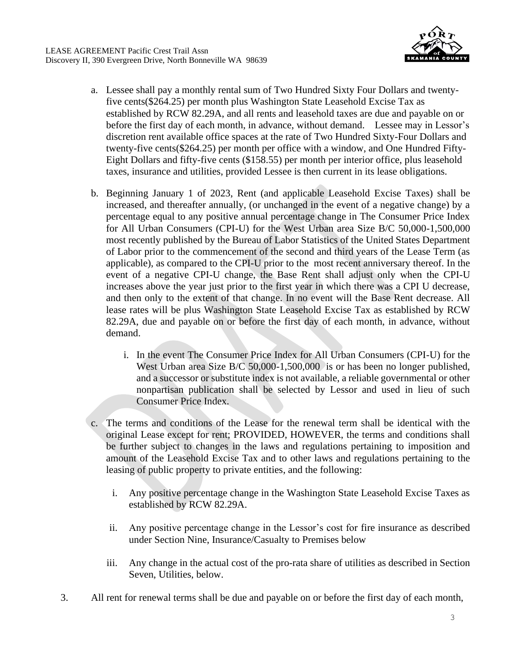

- a. Lessee shall pay a monthly rental sum of Two Hundred Sixty Four Dollars and twentyfive cents(\$264.25) per month plus Washington State Leasehold Excise Tax as established by RCW 82.29A, and all rents and leasehold taxes are due and payable on or before the first day of each month, in advance, without demand. Lessee may in Lessor's discretion rent available office spaces at the rate of Two Hundred Sixty-Four Dollars and twenty-five cents(\$264.25) per month per office with a window, and One Hundred Fifty-Eight Dollars and fifty-five cents (\$158.55) per month per interior office, plus leasehold taxes, insurance and utilities, provided Lessee is then current in its lease obligations.
- b. Beginning January 1 of 2023, Rent (and applicable Leasehold Excise Taxes) shall be increased, and thereafter annually, (or unchanged in the event of a negative change) by a percentage equal to any positive annual percentage change in The Consumer Price Index for All Urban Consumers (CPI-U) for the West Urban area Size B/C 50,000-1,500,000 most recently published by the Bureau of Labor Statistics of the United States Department of Labor prior to the commencement of the second and third years of the Lease Term (as applicable), as compared to the CPI-U prior to the most recent anniversary thereof. In the event of a negative CPI-U change, the Base Rent shall adjust only when the CPI-U increases above the year just prior to the first year in which there was a CPI U decrease, and then only to the extent of that change. In no event will the Base Rent decrease. All lease rates will be plus Washington State Leasehold Excise Tax as established by RCW 82.29A, due and payable on or before the first day of each month, in advance, without demand.
	- i. In the event The Consumer Price Index for All Urban Consumers (CPI-U) for the West Urban area Size B/C 50,000-1,500,000 is or has been no longer published, and a successor or substitute index is not available, a reliable governmental or other nonpartisan publication shall be selected by Lessor and used in lieu of such Consumer Price Index.
- c. The terms and conditions of the Lease for the renewal term shall be identical with the original Lease except for rent; PROVIDED, HOWEVER, the terms and conditions shall be further subject to changes in the laws and regulations pertaining to imposition and amount of the Leasehold Excise Tax and to other laws and regulations pertaining to the leasing of public property to private entities, and the following:
	- i. Any positive percentage change in the Washington State Leasehold Excise Taxes as established by RCW 82.29A.
	- ii. Any positive percentage change in the Lessor's cost for fire insurance as described under Section Nine, Insurance/Casualty to Premises below
	- iii. Any change in the actual cost of the pro-rata share of utilities as described in Section Seven, Utilities, below.
- 3. All rent for renewal terms shall be due and payable on or before the first day of each month,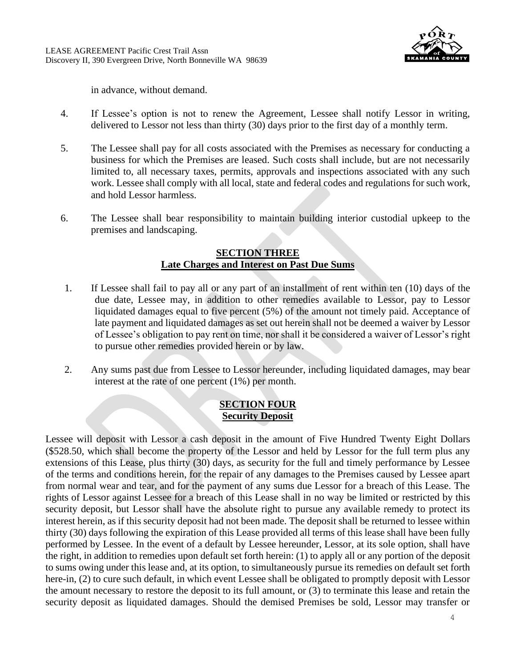

in advance, without demand.

- 4. If Lessee's option is not to renew the Agreement, Lessee shall notify Lessor in writing, delivered to Lessor not less than thirty (30) days prior to the first day of a monthly term.
- 5. The Lessee shall pay for all costs associated with the Premises as necessary for conducting a business for which the Premises are leased. Such costs shall include, but are not necessarily limited to, all necessary taxes, permits, approvals and inspections associated with any such work. Lessee shall comply with all local, state and federal codes and regulations for such work, and hold Lessor harmless.
- 6. The Lessee shall bear responsibility to maintain building interior custodial upkeep to the premises and landscaping.

#### **SECTION THREE Late Charges and Interest on Past Due Sums**

- 1. If Lessee shall fail to pay all or any part of an installment of rent within ten (10) days of the due date, Lessee may, in addition to other remedies available to Lessor, pay to Lessor liquidated damages equal to five percent (5%) of the amount not timely paid. Acceptance of late payment and liquidated damages as set out herein shall not be deemed a waiver by Lessor of Lessee's obligation to pay rent on time, nor shall it be considered a waiver of Lessor's right to pursue other remedies provided herein or by law.
- 2. Any sums past due from Lessee to Lessor hereunder, including liquidated damages, may bear interest at the rate of one percent (1%) per month.

# **SECTION FOUR Security Deposit**

Lessee will deposit with Lessor a cash deposit in the amount of Five Hundred Twenty Eight Dollars (\$528.50, which shall become the property of the Lessor and held by Lessor for the full term plus any extensions of this Lease, plus thirty (30) days, as security for the full and timely performance by Lessee of the terms and conditions herein, for the repair of any damages to the Premises caused by Lessee apart from normal wear and tear, and for the payment of any sums due Lessor for a breach of this Lease. The rights of Lessor against Lessee for a breach of this Lease shall in no way be limited or restricted by this security deposit, but Lessor shall have the absolute right to pursue any available remedy to protect its interest herein, as if this security deposit had not been made. The deposit shall be returned to lessee within thirty (30) days following the expiration of this Lease provided all terms of this lease shall have been fully performed by Lessee. In the event of a default by Lessee hereunder, Lessor, at its sole option, shall have the right, in addition to remedies upon default set forth herein: (1) to apply all or any portion of the deposit to sums owing under this lease and, at its option, to simultaneously pursue its remedies on default set forth here-in, (2) to cure such default, in which event Lessee shall be obligated to promptly deposit with Lessor the amount necessary to restore the deposit to its full amount, or (3) to terminate this lease and retain the security deposit as liquidated damages. Should the demised Premises be sold, Lessor may transfer or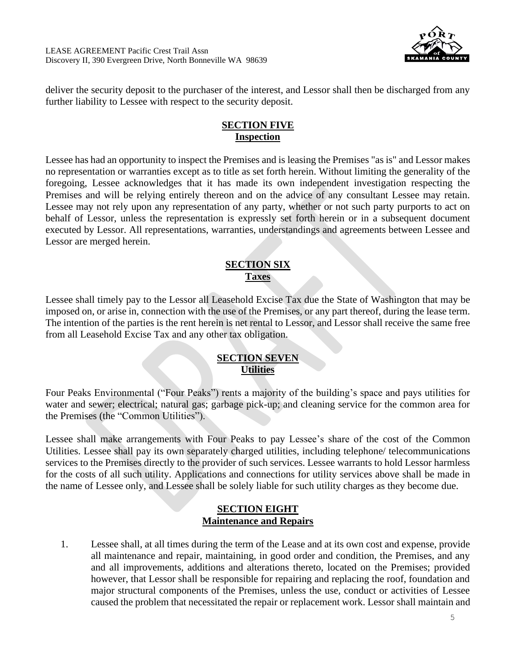

deliver the security deposit to the purchaser of the interest, and Lessor shall then be discharged from any further liability to Lessee with respect to the security deposit.

# **SECTION FIVE Inspection**

Lessee has had an opportunity to inspect the Premises and is leasing the Premises "as is" and Lessor makes no representation or warranties except as to title as set forth herein. Without limiting the generality of the foregoing, Lessee acknowledges that it has made its own independent investigation respecting the Premises and will be relying entirely thereon and on the advice of any consultant Lessee may retain. Lessee may not rely upon any representation of any party, whether or not such party purports to act on behalf of Lessor, unless the representation is expressly set forth herein or in a subsequent document executed by Lessor. All representations, warranties, understandings and agreements between Lessee and Lessor are merged herein.

# **SECTION SIX Taxes**

Lessee shall timely pay to the Lessor all Leasehold Excise Tax due the State of Washington that may be imposed on, or arise in, connection with the use of the Premises, or any part thereof, during the lease term. The intention of the parties is the rent herein is net rental to Lessor, and Lessor shall receive the same free from all Leasehold Excise Tax and any other tax obligation.

# **SECTION SEVEN Utilities**

Four Peaks Environmental ("Four Peaks") rents a majority of the building's space and pays utilities for water and sewer; electrical; natural gas; garbage pick-up; and cleaning service for the common area for the Premises (the "Common Utilities").

Lessee shall make arrangements with Four Peaks to pay Lessee's share of the cost of the Common Utilities. Lessee shall pay its own separately charged utilities, including telephone/ telecommunications services to the Premises directly to the provider of such services. Lessee warrants to hold Lessor harmless for the costs of all such utility. Applications and connections for utility services above shall be made in the name of Lessee only, and Lessee shall be solely liable for such utility charges as they become due.

# **SECTION EIGHT Maintenance and Repairs**

1. Lessee shall, at all times during the term of the Lease and at its own cost and expense, provide all maintenance and repair, maintaining, in good order and condition, the Premises, and any and all improvements, additions and alterations thereto, located on the Premises; provided however, that Lessor shall be responsible for repairing and replacing the roof, foundation and major structural components of the Premises, unless the use, conduct or activities of Lessee caused the problem that necessitated the repair or replacement work. Lessor shall maintain and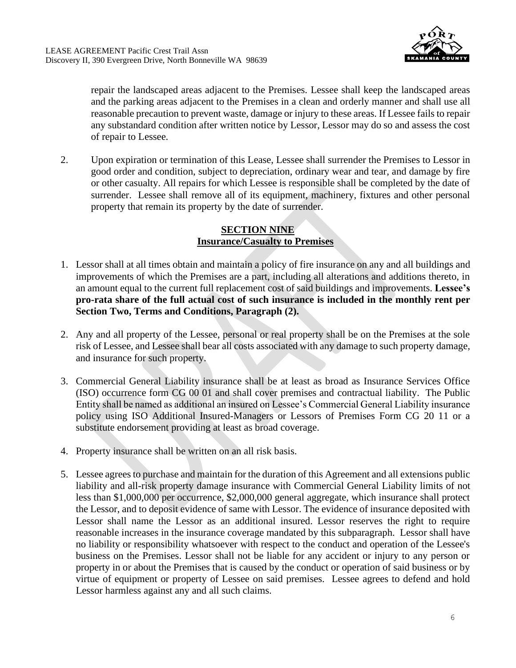

repair the landscaped areas adjacent to the Premises. Lessee shall keep the landscaped areas and the parking areas adjacent to the Premises in a clean and orderly manner and shall use all reasonable precaution to prevent waste, damage or injury to these areas. If Lessee fails to repair any substandard condition after written notice by Lessor, Lessor may do so and assess the cost of repair to Lessee.

2. Upon expiration or termination of this Lease, Lessee shall surrender the Premises to Lessor in good order and condition, subject to depreciation, ordinary wear and tear, and damage by fire or other casualty. All repairs for which Lessee is responsible shall be completed by the date of surrender. Lessee shall remove all of its equipment, machinery, fixtures and other personal property that remain its property by the date of surrender.

### **SECTION NINE Insurance/Casualty to Premises**

- 1. Lessor shall at all times obtain and maintain a policy of fire insurance on any and all buildings and improvements of which the Premises are a part, including all alterations and additions thereto, in an amount equal to the current full replacement cost of said buildings and improvements. **Lessee's pro-rata share of the full actual cost of such insurance is included in the monthly rent per Section Two, Terms and Conditions, Paragraph (2).**
- 2. Any and all property of the Lessee, personal or real property shall be on the Premises at the sole risk of Lessee, and Lessee shall bear all costs associated with any damage to such property damage, and insurance for such property.
- 3. Commercial General Liability insurance shall be at least as broad as Insurance Services Office (ISO) occurrence form CG 00 01 and shall cover premises and contractual liability. The Public Entity shall be named as additional an insured on Lessee's Commercial General Liability insurance policy using ISO Additional Insured-Managers or Lessors of Premises Form CG 20 11 or a substitute endorsement providing at least as broad coverage.
- 4. Property insurance shall be written on an all risk basis.
- 5. Lessee agrees to purchase and maintain for the duration of this Agreement and all extensions public liability and all-risk property damage insurance with Commercial General Liability limits of not less than \$1,000,000 per occurrence, \$2,000,000 general aggregate, which insurance shall protect the Lessor, and to deposit evidence of same with Lessor. The evidence of insurance deposited with Lessor shall name the Lessor as an additional insured. Lessor reserves the right to require reasonable increases in the insurance coverage mandated by this subparagraph. Lessor shall have no liability or responsibility whatsoever with respect to the conduct and operation of the Lessee's business on the Premises. Lessor shall not be liable for any accident or injury to any person or property in or about the Premises that is caused by the conduct or operation of said business or by virtue of equipment or property of Lessee on said premises. Lessee agrees to defend and hold Lessor harmless against any and all such claims.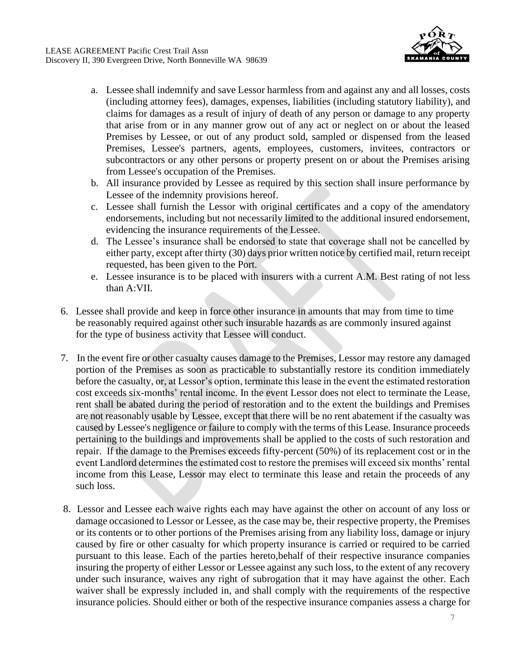

- a. Lessee shall indemnify and save Lessor harmless from and against any and all losses, costs (including attorney fees), damages, expenses, liabilities (including statutory liability), and claims for damages as a result of injury of death of any person or damage to any property that arise from or in any manner grow out of any act or neglect on or about the leased Premises by Lessee, or out of any product sold, sampled or dispensed from the leased Premises, Lessee's partners, agents, employees, customers, invitees, contractors or subcontractors or any other persons or property present on or about the Premises arising from Lessee's occupation of the Premises.
- b. All insurance provided by Lessee as required by this section shall insure performance by Lessee of the indemnity provisions hereof.
- c. Lessee shall furnish the Lessor with original certificates and a copy of the amendatory endorsements, including but not necessarily limited to the additional insured endorsement, evidencing the insurance requirements of the Lessee.
- d. The Lessee's insurance shall be endorsed to state that coverage shall not be cancelled by either party, except after thirty (30) days prior written notice by certified mail, return receipt requested, has been given to the Port.
- e. Lessee insurance is to be placed with insurers with a current A.M. Best rating of not less than A:VII.
- 6. Lessee shall provide and keep in force other insurance in amounts that may from time to time be reasonably required against other such insurable hazards as are commonly insured against for the type of business activity that Lessee will conduct.
- 7. In the event fire or other casualty causes damage to the Premises, Lessor may restore any damaged portion of the Premises as soon as practicable to substantially restore its condition immediately before the casualty, or, at Lessor's option, terminate this lease in the event the estimated restoration cost exceeds six-months' rental income. In the event Lessor does not elect to terminate the Lease, rent shall be abated during the period of restoration and to the extent the buildings and Premises are not reasonably usable by Lessee, except that there will be no rent abatement if the casualty was caused by Lessee's negligence or failure to comply with the terms of this Lease. Insurance proceeds pertaining to the buildings and improvements shall be applied to the costs of such restoration and repair. If the damage to the Premises exceeds fifty-percent (50%) of its replacement cost or in the event Landlord determines the estimated cost to restore the premises will exceed six months' rental income from this Lease, Lessor may elect to terminate this lease and retain the proceeds of any such loss.
- 8. Lessor and Lessee each waive rights each may have against the other on account of any loss or damage occasioned to Lessor or Lessee, as the case may be, their respective property, the Premises or its contents or to other portions of the Premises arising from any liability loss, damage or injury caused by fire or other casualty for which property insurance is carried or required to be carried pursuant to this lease. Each of the parties hereto,behalf of their respective insurance companies insuring the property of either Lessor or Lessee against any such loss, to the extent of any recovery under such insurance, waives any right of subrogation that it may have against the other. Each waiver shall be expressly included in, and shall comply with the requirements of the respective insurance policies. Should either or both of the respective insurance companies assess a charge for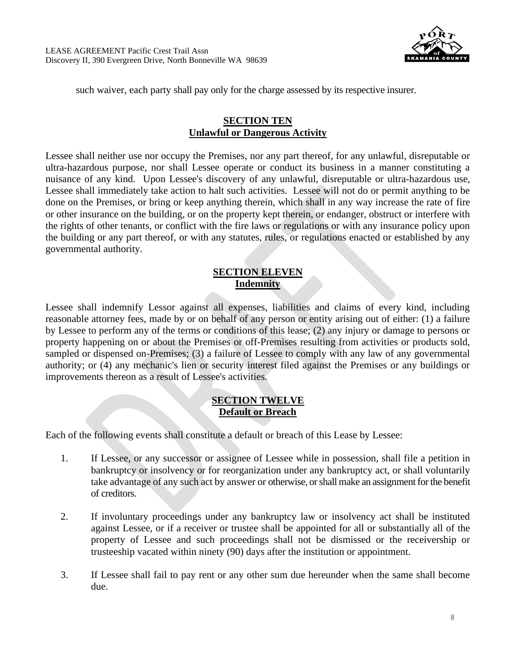

such waiver, each party shall pay only for the charge assessed by its respective insurer.

#### **SECTION TEN Unlawful or Dangerous Activity**

Lessee shall neither use nor occupy the Premises, nor any part thereof, for any unlawful, disreputable or ultra-hazardous purpose, nor shall Lessee operate or conduct its business in a manner constituting a nuisance of any kind. Upon Lessee's discovery of any unlawful, disreputable or ultra-hazardous use, Lessee shall immediately take action to halt such activities. Lessee will not do or permit anything to be done on the Premises, or bring or keep anything therein, which shall in any way increase the rate of fire or other insurance on the building, or on the property kept therein, or endanger, obstruct or interfere with the rights of other tenants, or conflict with the fire laws or regulations or with any insurance policy upon the building or any part thereof, or with any statutes, rules, or regulations enacted or established by any governmental authority.

# **SECTION ELEVEN Indemnity**

Lessee shall indemnify Lessor against all expenses, liabilities and claims of every kind, including reasonable attorney fees, made by or on behalf of any person or entity arising out of either: (1) a failure by Lessee to perform any of the terms or conditions of this lease; (2) any injury or damage to persons or property happening on or about the Premises or off-Premises resulting from activities or products sold, sampled or dispensed on-Premises; (3) a failure of Lessee to comply with any law of any governmental authority; or (4) any mechanic's lien or security interest filed against the Premises or any buildings or improvements thereon as a result of Lessee's activities.

#### **SECTION TWELVE Default or Breach**

Each of the following events shall constitute a default or breach of this Lease by Lessee:

- 1. If Lessee, or any successor or assignee of Lessee while in possession, shall file a petition in bankruptcy or insolvency or for reorganization under any bankruptcy act, or shall voluntarily take advantage of any such act by answer or otherwise, or shall make an assignment for the benefit of creditors.
- 2. If involuntary proceedings under any bankruptcy law or insolvency act shall be instituted against Lessee, or if a receiver or trustee shall be appointed for all or substantially all of the property of Lessee and such proceedings shall not be dismissed or the receivership or trusteeship vacated within ninety (90) days after the institution or appointment.
- 3. If Lessee shall fail to pay rent or any other sum due hereunder when the same shall become due.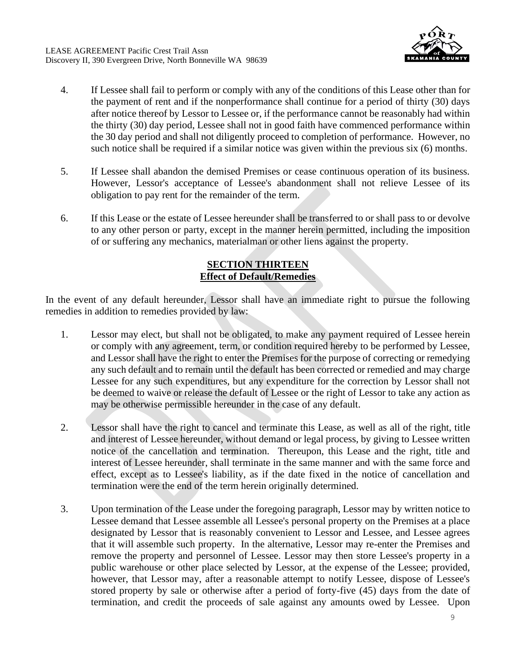

- 4. If Lessee shall fail to perform or comply with any of the conditions of this Lease other than for the payment of rent and if the nonperformance shall continue for a period of thirty (30) days after notice thereof by Lessor to Lessee or, if the performance cannot be reasonably had within the thirty (30) day period, Lessee shall not in good faith have commenced performance within the 30 day period and shall not diligently proceed to completion of performance. However, no such notice shall be required if a similar notice was given within the previous six (6) months.
- 5. If Lessee shall abandon the demised Premises or cease continuous operation of its business. However, Lessor's acceptance of Lessee's abandonment shall not relieve Lessee of its obligation to pay rent for the remainder of the term.
- 6. If this Lease or the estate of Lessee hereunder shall be transferred to or shall pass to or devolve to any other person or party, except in the manner herein permitted, including the imposition of or suffering any mechanics, materialman or other liens against the property.

# **SECTION THIRTEEN Effect of Default/Remedies**

In the event of any default hereunder, Lessor shall have an immediate right to pursue the following remedies in addition to remedies provided by law:

- 1. Lessor may elect, but shall not be obligated, to make any payment required of Lessee herein or comply with any agreement, term, or condition required hereby to be performed by Lessee, and Lessor shall have the right to enter the Premises for the purpose of correcting or remedying any such default and to remain until the default has been corrected or remedied and may charge Lessee for any such expenditures, but any expenditure for the correction by Lessor shall not be deemed to waive or release the default of Lessee or the right of Lessor to take any action as may be otherwise permissible hereunder in the case of any default.
- 2. Lessor shall have the right to cancel and terminate this Lease, as well as all of the right, title and interest of Lessee hereunder, without demand or legal process, by giving to Lessee written notice of the cancellation and termination. Thereupon, this Lease and the right, title and interest of Lessee hereunder, shall terminate in the same manner and with the same force and effect, except as to Lessee's liability, as if the date fixed in the notice of cancellation and termination were the end of the term herein originally determined.
- 3. Upon termination of the Lease under the foregoing paragraph, Lessor may by written notice to Lessee demand that Lessee assemble all Lessee's personal property on the Premises at a place designated by Lessor that is reasonably convenient to Lessor and Lessee, and Lessee agrees that it will assemble such property. In the alternative, Lessor may re-enter the Premises and remove the property and personnel of Lessee. Lessor may then store Lessee's property in a public warehouse or other place selected by Lessor, at the expense of the Lessee; provided, however, that Lessor may, after a reasonable attempt to notify Lessee, dispose of Lessee's stored property by sale or otherwise after a period of forty-five (45) days from the date of termination, and credit the proceeds of sale against any amounts owed by Lessee. Upon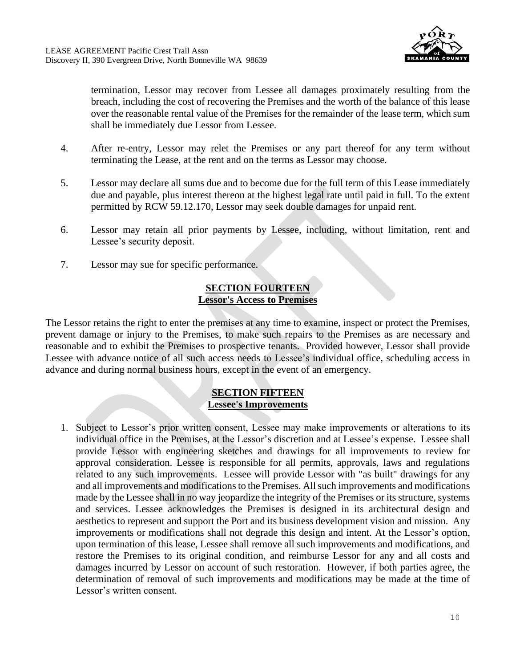

termination, Lessor may recover from Lessee all damages proximately resulting from the breach, including the cost of recovering the Premises and the worth of the balance of this lease over the reasonable rental value of the Premises for the remainder of the lease term, which sum shall be immediately due Lessor from Lessee.

- 4. After re-entry, Lessor may relet the Premises or any part thereof for any term without terminating the Lease, at the rent and on the terms as Lessor may choose.
- 5. Lessor may declare all sums due and to become due for the full term of this Lease immediately due and payable, plus interest thereon at the highest legal rate until paid in full. To the extent permitted by RCW 59.12.170, Lessor may seek double damages for unpaid rent.
- 6. Lessor may retain all prior payments by Lessee, including, without limitation, rent and Lessee's security deposit.
- 7. Lessor may sue for specific performance.

#### **SECTION FOURTEEN Lessor's Access to Premises**

The Lessor retains the right to enter the premises at any time to examine, inspect or protect the Premises, prevent damage or injury to the Premises, to make such repairs to the Premises as are necessary and reasonable and to exhibit the Premises to prospective tenants. Provided however, Lessor shall provide Lessee with advance notice of all such access needs to Lessee's individual office, scheduling access in advance and during normal business hours, except in the event of an emergency.

#### **SECTION FIFTEEN Lessee's Improvements**

1. Subject to Lessor's prior written consent, Lessee may make improvements or alterations to its individual office in the Premises, at the Lessor's discretion and at Lessee's expense. Lessee shall provide Lessor with engineering sketches and drawings for all improvements to review for approval consideration. Lessee is responsible for all permits, approvals, laws and regulations related to any such improvements. Lessee will provide Lessor with "as built" drawings for any and all improvements and modifications to the Premises. All such improvements and modifications made by the Lessee shall in no way jeopardize the integrity of the Premises or its structure, systems and services. Lessee acknowledges the Premises is designed in its architectural design and aesthetics to represent and support the Port and its business development vision and mission. Any improvements or modifications shall not degrade this design and intent. At the Lessor's option, upon termination of this lease, Lessee shall remove all such improvements and modifications, and restore the Premises to its original condition, and reimburse Lessor for any and all costs and damages incurred by Lessor on account of such restoration. However, if both parties agree, the determination of removal of such improvements and modifications may be made at the time of Lessor's written consent.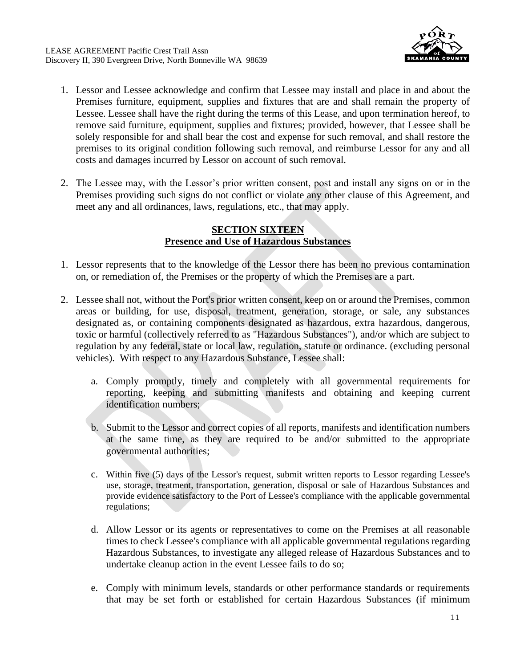

- 1. Lessor and Lessee acknowledge and confirm that Lessee may install and place in and about the Premises furniture, equipment, supplies and fixtures that are and shall remain the property of Lessee. Lessee shall have the right during the terms of this Lease, and upon termination hereof, to remove said furniture, equipment, supplies and fixtures; provided, however, that Lessee shall be solely responsible for and shall bear the cost and expense for such removal, and shall restore the premises to its original condition following such removal, and reimburse Lessor for any and all costs and damages incurred by Lessor on account of such removal.
- 2. The Lessee may, with the Lessor's prior written consent, post and install any signs on or in the Premises providing such signs do not conflict or violate any other clause of this Agreement, and meet any and all ordinances, laws, regulations, etc., that may apply.

#### **SECTION SIXTEEN Presence and Use of Hazardous Substances**

- 1. Lessor represents that to the knowledge of the Lessor there has been no previous contamination on, or remediation of, the Premises or the property of which the Premises are a part.
- 2. Lessee shall not, without the Port's prior written consent, keep on or around the Premises, common areas or building, for use, disposal, treatment, generation, storage, or sale, any substances designated as, or containing components designated as hazardous, extra hazardous, dangerous, toxic or harmful (collectively referred to as "Hazardous Substances"), and/or which are subject to regulation by any federal, state or local law, regulation, statute or ordinance. (excluding personal vehicles). With respect to any Hazardous Substance, Lessee shall:
	- a. Comply promptly, timely and completely with all governmental requirements for reporting, keeping and submitting manifests and obtaining and keeping current identification numbers;
	- b. Submit to the Lessor and correct copies of all reports, manifests and identification numbers at the same time, as they are required to be and/or submitted to the appropriate governmental authorities;
	- c. Within five (5) days of the Lessor's request, submit written reports to Lessor regarding Lessee's use, storage, treatment, transportation, generation, disposal or sale of Hazardous Substances and provide evidence satisfactory to the Port of Lessee's compliance with the applicable governmental regulations;
	- d. Allow Lessor or its agents or representatives to come on the Premises at all reasonable times to check Lessee's compliance with all applicable governmental regulations regarding Hazardous Substances, to investigate any alleged release of Hazardous Substances and to undertake cleanup action in the event Lessee fails to do so;
	- e. Comply with minimum levels, standards or other performance standards or requirements that may be set forth or established for certain Hazardous Substances (if minimum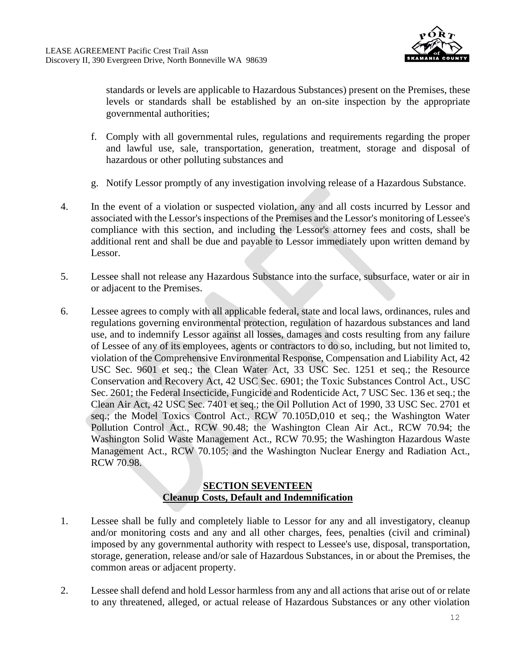

standards or levels are applicable to Hazardous Substances) present on the Premises, these levels or standards shall be established by an on-site inspection by the appropriate governmental authorities;

- f. Comply with all governmental rules, regulations and requirements regarding the proper and lawful use, sale, transportation, generation, treatment, storage and disposal of hazardous or other polluting substances and
- g. Notify Lessor promptly of any investigation involving release of a Hazardous Substance.
- 4. In the event of a violation or suspected violation, any and all costs incurred by Lessor and associated with the Lessor's inspections of the Premises and the Lessor's monitoring of Lessee's compliance with this section, and including the Lessor's attorney fees and costs, shall be additional rent and shall be due and payable to Lessor immediately upon written demand by Lessor.
- 5. Lessee shall not release any Hazardous Substance into the surface, subsurface, water or air in or adjacent to the Premises.
- 6. Lessee agrees to comply with all applicable federal, state and local laws, ordinances, rules and regulations governing environmental protection, regulation of hazardous substances and land use, and to indemnify Lessor against all losses, damages and costs resulting from any failure of Lessee of any of its employees, agents or contractors to do so, including, but not limited to, violation of the Comprehensive Environmental Response, Compensation and Liability Act, 42 USC Sec. 9601 et seq.; the Clean Water Act, 33 USC Sec. 1251 et seq.; the Resource Conservation and Recovery Act, 42 USC Sec. 6901; the Toxic Substances Control Act., USC Sec. 2601; the Federal Insecticide, Fungicide and Rodenticide Act, 7 USC Sec. 136 et seq.; the Clean Air Act, 42 USC Sec. 7401 et seq.; the Oil Pollution Act of 1990, 33 USC Sec. 2701 et seq.; the Model Toxics Control Act., RCW 70.105D,010 et seq.; the Washington Water Pollution Control Act., RCW 90.48; the Washington Clean Air Act., RCW 70.94; the Washington Solid Waste Management Act., RCW 70.95; the Washington Hazardous Waste Management Act., RCW 70.105; and the Washington Nuclear Energy and Radiation Act., RCW 70.98.

# **SECTION SEVENTEEN Cleanup Costs, Default and Indemnification**

- 1. Lessee shall be fully and completely liable to Lessor for any and all investigatory, cleanup and/or monitoring costs and any and all other charges, fees, penalties (civil and criminal) imposed by any governmental authority with respect to Lessee's use, disposal, transportation, storage, generation, release and/or sale of Hazardous Substances, in or about the Premises, the common areas or adjacent property.
- 2. Lessee shall defend and hold Lessor harmless from any and all actions that arise out of or relate to any threatened, alleged, or actual release of Hazardous Substances or any other violation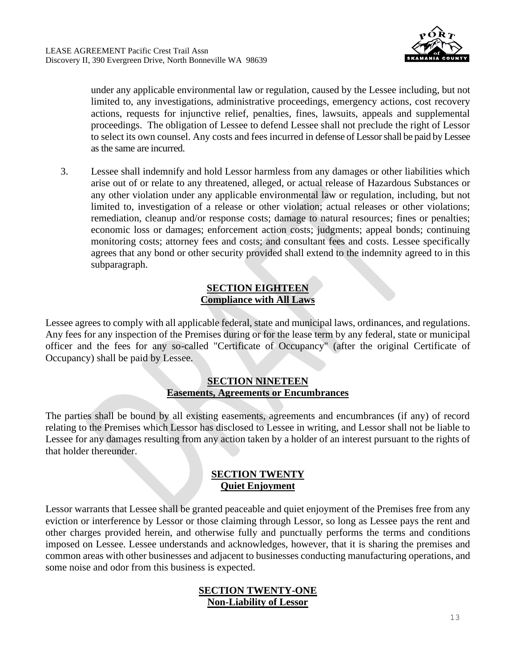

under any applicable environmental law or regulation, caused by the Lessee including, but not limited to, any investigations, administrative proceedings, emergency actions, cost recovery actions, requests for injunctive relief, penalties, fines, lawsuits, appeals and supplemental proceedings. The obligation of Lessee to defend Lessee shall not preclude the right of Lessor to select its own counsel. Any costs and fees incurred in defense of Lessor shall be paid by Lessee as the same are incurred.

3. Lessee shall indemnify and hold Lessor harmless from any damages or other liabilities which arise out of or relate to any threatened, alleged, or actual release of Hazardous Substances or any other violation under any applicable environmental law or regulation, including, but not limited to, investigation of a release or other violation; actual releases or other violations; remediation, cleanup and/or response costs; damage to natural resources; fines or penalties; economic loss or damages; enforcement action costs; judgments; appeal bonds; continuing monitoring costs; attorney fees and costs; and consultant fees and costs. Lessee specifically agrees that any bond or other security provided shall extend to the indemnity agreed to in this subparagraph.

#### **SECTION EIGHTEEN Compliance with All Laws**

Lessee agrees to comply with all applicable federal, state and municipal laws, ordinances, and regulations. Any fees for any inspection of the Premises during or for the lease term by any federal, state or municipal officer and the fees for any so-called "Certificate of Occupancy" (after the original Certificate of Occupancy) shall be paid by Lessee.

#### **SECTION NINETEEN Easements, Agreements or Encumbrances**

The parties shall be bound by all existing easements, agreements and encumbrances (if any) of record relating to the Premises which Lessor has disclosed to Lessee in writing, and Lessor shall not be liable to Lessee for any damages resulting from any action taken by a holder of an interest pursuant to the rights of that holder thereunder.

#### **SECTION TWENTY Quiet Enjoyment**

Lessor warrants that Lessee shall be granted peaceable and quiet enjoyment of the Premises free from any eviction or interference by Lessor or those claiming through Lessor, so long as Lessee pays the rent and other charges provided herein, and otherwise fully and punctually performs the terms and conditions imposed on Lessee. Lessee understands and acknowledges, however, that it is sharing the premises and common areas with other businesses and adjacent to businesses conducting manufacturing operations, and some noise and odor from this business is expected.

#### **SECTION TWENTY-ONE Non-Liability of Lessor**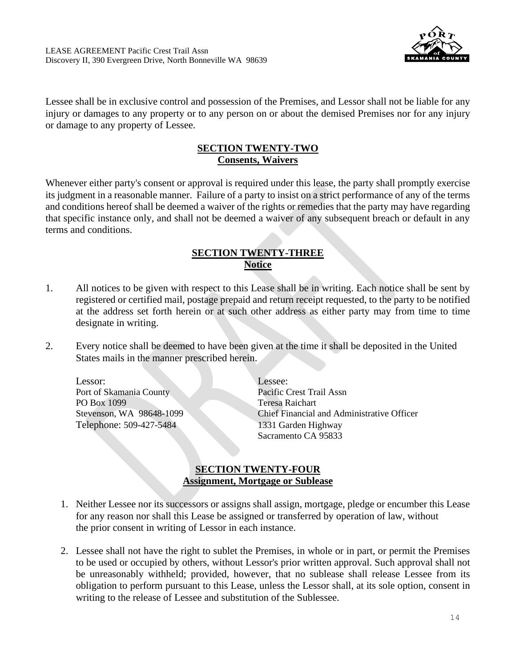

Lessee shall be in exclusive control and possession of the Premises, and Lessor shall not be liable for any injury or damages to any property or to any person on or about the demised Premises nor for any injury or damage to any property of Lessee.

### **SECTION TWENTY-TWO Consents, Waivers**

Whenever either party's consent or approval is required under this lease, the party shall promptly exercise its judgment in a reasonable manner. Failure of a party to insist on a strict performance of any of the terms and conditions hereof shall be deemed a waiver of the rights or remedies that the party may have regarding that specific instance only, and shall not be deemed a waiver of any subsequent breach or default in any terms and conditions.

# **SECTION TWENTY-THREE Notice**

- 1. All notices to be given with respect to this Lease shall be in writing. Each notice shall be sent by registered or certified mail, postage prepaid and return receipt requested, to the party to be notified at the address set forth herein or at such other address as either party may from time to time designate in writing.
- 2. Every notice shall be deemed to have been given at the time it shall be deposited in the United States mails in the manner prescribed herein.

Lessor: Lessor: Lessee: Port of Skamania County Pacific Crest Trail Assn PO Box 1099 Teresa Raichart Telephone: 509-427-5484 1331 Garden Highway

Stevenson, WA 98648-1099 Chief Financial and Administrative Officer Sacramento CA 95833

# **SECTION TWENTY-FOUR Assignment, Mortgage or Sublease**

- 1. Neither Lessee nor its successors or assigns shall assign, mortgage, pledge or encumber this Lease for any reason nor shall this Lease be assigned or transferred by operation of law, without the prior consent in writing of Lessor in each instance.
- 2. Lessee shall not have the right to sublet the Premises, in whole or in part, or permit the Premises to be used or occupied by others, without Lessor's prior written approval. Such approval shall not be unreasonably withheld; provided, however, that no sublease shall release Lessee from its obligation to perform pursuant to this Lease, unless the Lessor shall, at its sole option, consent in writing to the release of Lessee and substitution of the Sublessee.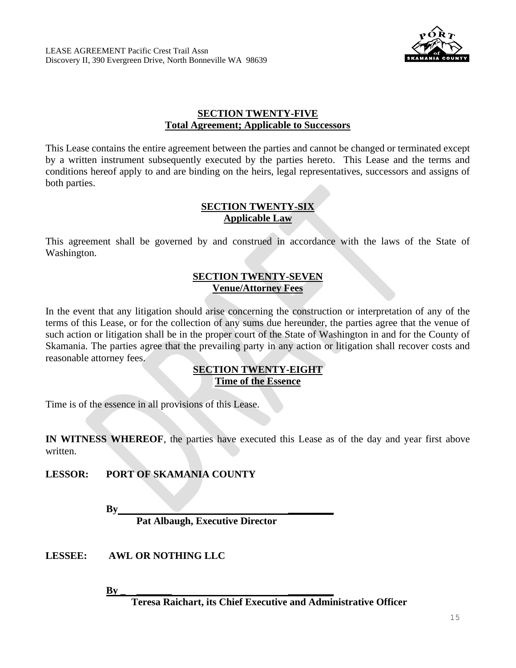

#### **SECTION TWENTY-FIVE Total Agreement; Applicable to Successors**

This Lease contains the entire agreement between the parties and cannot be changed or terminated except by a written instrument subsequently executed by the parties hereto. This Lease and the terms and conditions hereof apply to and are binding on the heirs, legal representatives, successors and assigns of both parties.

#### **SECTION TWENTY-SIX Applicable Law**

This agreement shall be governed by and construed in accordance with the laws of the State of Washington.

### **SECTION TWENTY-SEVEN Venue/Attorney Fees**

In the event that any litigation should arise concerning the construction or interpretation of any of the terms of this Lease, or for the collection of any sums due hereunder, the parties agree that the venue of such action or litigation shall be in the proper court of the State of Washington in and for the County of Skamania. The parties agree that the prevailing party in any action or litigation shall recover costs and reasonable attorney fees.

#### **SECTION TWENTY-EIGHT Time of the Essence**

Time is of the essence in all provisions of this Lease.

**IN WITNESS WHEREOF**, the parties have executed this Lease as of the day and year first above written.

**LESSOR: PORT OF SKAMANIA COUNTY**

**By \_\_\_\_\_\_\_\_\_**

**Pat Albaugh, Executive Director**

**LESSEE: AWL OR NOTHING LLC**

**By \_ \_\_\_\_\_\_\_ \_\_\_\_\_\_\_\_\_**

 **Teresa Raichart, its Chief Executive and Administrative Officer**